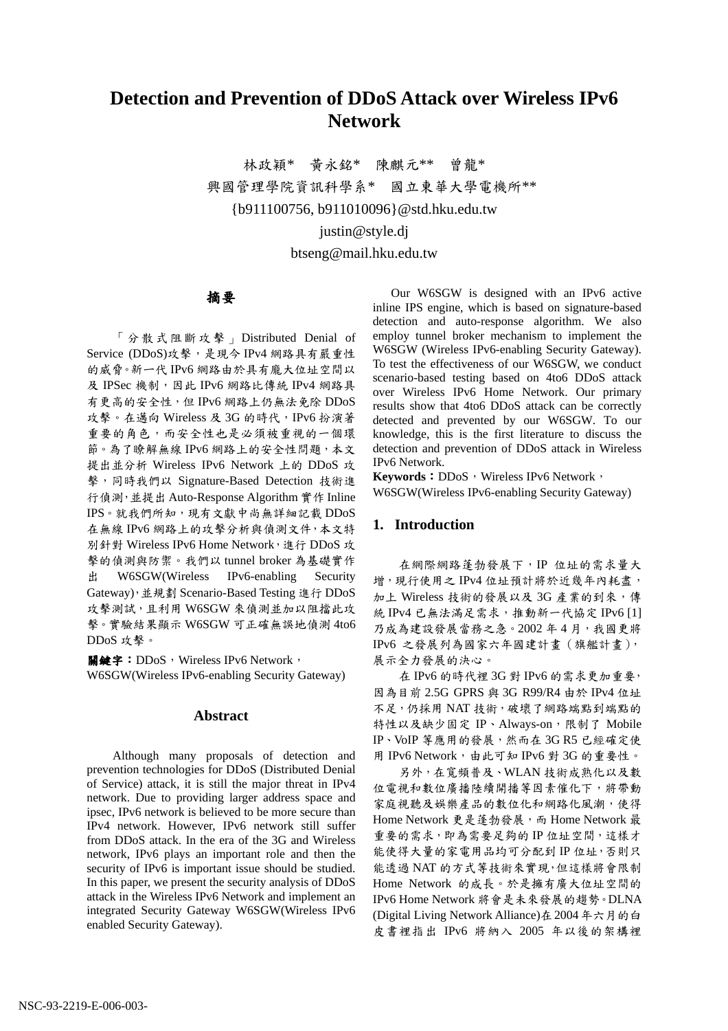# **Detection and Prevention of DDoS Attack over Wireless IPv6 Network**

林政穎\* 黄永銘\* 陳麒元\*\* 曾龍\* 興國管理學院資訊科學系\* 國立東華大學電機所\*\* {b911100756, b911010096}@std.hku.edu.tw

justin@style.dj

btseng@mail.hku.edu.tw

摘要

「分散式阻斷攻擊」Distributed Denial of Service (DDoS)攻擊,是現今 IPv4 網路具有嚴重性 的威脅。新一代 IPv6 網路由於具有龐大位址空間以 及 IPSec 機制,因此 IPv6 網路比傳統 IPv4 網路具 有更高的安全性,但 IPv6 網路上仍無法免除 DDoS 攻擊。在邁向 Wireless 及 3G 的時代, IPv6 扮演著 重要的角色,而安全性也是必須被重視的一個環 節。為了瞭解無線 IPv6 網路上的安全性問題,本文 提出並分析 Wireless IPv6 Network 上的 DDoS 攻 擊,同時我們以 Signature-Based Detection 技術進 行偵測, 並提出 Auto-Response Algorithm 實作 Inline IPS。就我們所知,現有文獻中尚無詳細記載 DDoS 在無線 IPv6 網路上的攻擊分析與偵測文件,本文特 別針對 Wireless IPv6 Home Network, 進行 DDoS 攻 擊的偵測與防禦。我們以 tunnel broker 為基礎實作 出 W6SGW(Wireless IPv6-enabling Security Gateway), 並規劃 Scenario-Based Testing 進行 DDoS 攻擊測試,且利用 W6SGW 來偵測並加以阻擋此攻 擊。實驗結果顯示 W6SGW 可正確無誤地偵測 4to6 DDoS 攻擊。

關鍵字: DDoS, Wireless IPv6 Network, W6SGW(Wireless IPv6-enabling Security Gateway)

# **Abstract**

Although many proposals of detection and prevention technologies for DDoS (Distributed Denial of Service) attack, it is still the major threat in IPv4 network. Due to providing larger address space and ipsec, IPv6 network is believed to be more secure than IPv4 network. However, IPv6 network still suffer from DDoS attack. In the era of the 3G and Wireless network, IPv6 plays an important role and then the security of IPv6 is important issue should be studied. In this paper, we present the security analysis of DDoS attack in the Wireless IPv6 Network and implement an integrated Security Gateway W6SGW(Wireless IPv6 enabled Security Gateway).

Our W6SGW is designed with an IPv6 active inline IPS engine, which is based on signature-based detection and auto-response algorithm. We also employ tunnel broker mechanism to implement the W6SGW (Wireless IPv6-enabling Security Gateway). To test the effectiveness of our W6SGW, we conduct scenario-based testing based on 4to6 DDoS attack over Wireless IPv6 Home Network. Our primary results show that 4to6 DDoS attack can be correctly detected and prevented by our W6SGW. To our knowledge, this is the first literature to discuss the detection and prevention of DDoS attack in Wireless IPv6 Network.

Keywords: DDoS, Wireless IPv6 Network, W6SGW(Wireless IPv6-enabling Security Gateway)

# **1. Introduction**

在網際網路蓬勃發展下,IP 位址的需求量大 增, 現行使用之 IPv4 位址預計將於近幾年內耗盡, 加上 Wireless 技術的發展以及 3G 產業的到來,傳 統 IPv4 已無法滿足需求, 推動新一代協定 IPv6 [1] 乃成為建設發展當務之急。2002年4月,我國更將 IPv6 之發展列為國家六年國建計畫(旗艦計畫), 展示全力發展的決心。

在 IPv6 的時代裡 3G 對 IPv6 的需求更加重要, 因為目前 2.5G GPRS 與 3G R99/R4 由於 IPv4 位址 不足,仍採用 NAT 技術,破壞了網路端點到端點的 特性以及缺少固定 IP、Always-on, 限制了 Mobile IP、VoIP 等應用的發展,然而在 3G R5 已經確定使 用 IPv6 Network,由此可知 IPv6 對 3G 的重要性。

另外,在寬頻普及、WLAN技術成熟化以及數 位電視和數位廣播陸續開播等因素催化下,將帶動 家庭視聽及娛樂產品的數位化和網路化風潮,使得 Home Network 更是蓬勃發展, 而 Home Network 最 重要的需求, 即為需要足夠的 IP 位址空間, 這樣才 能使得大量的家電用品均可分配到 IP 位址, 否則只 能透過 NAT 的方式等技術來實現,但這樣將會限制 Home Network 的成長。於是擁有廣大位址空間的 IPv6 Home Network 將會是未來發展的趨勢。DLNA (Digital Living Network Alliance)在 2004年六月的白 皮書裡指出 IPv6 將納入 2005 年以後的架構裡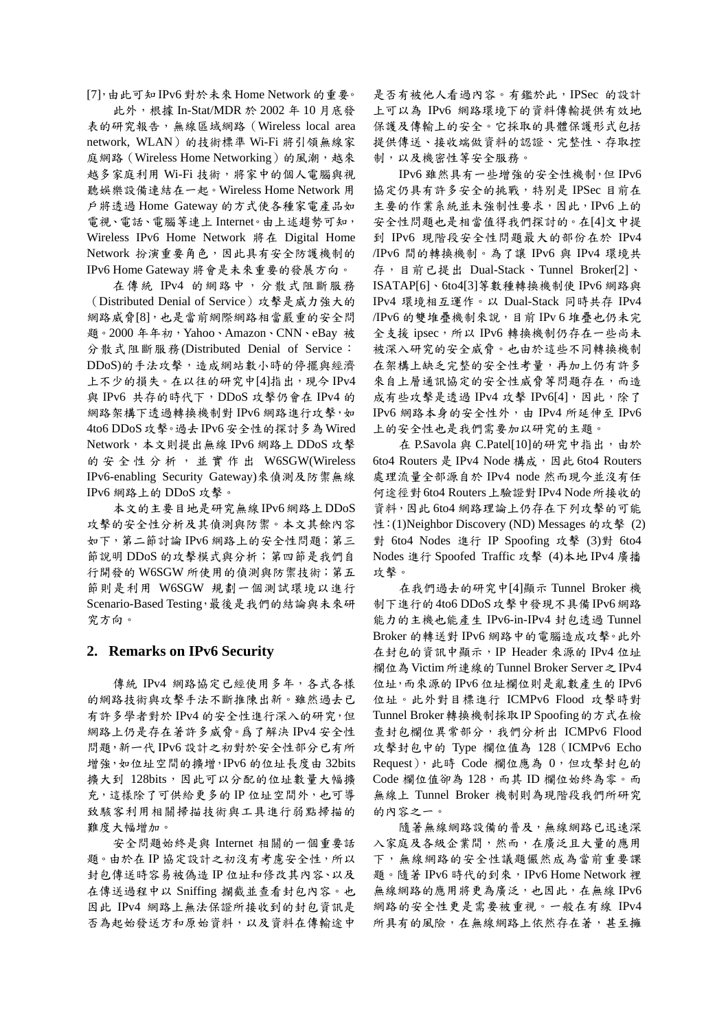[7],由此可知IPv6對於未來Home Network 的重要。

此外,根據 In-Stat/MDR 於 2002年10月底發 表的研究報告,無線區域網路 (Wireless local area network, WLAN) 的技術標準 Wi-Fi 將引領無線家 庭網路 (Wireless Home Networking) 的風潮,越來 越多家庭利用 Wi-Fi 技術,將家中的個人電腦與視 聽娛樂設備連結在一起。Wireless Home Network 用 戶將透過 Home Gateway 的方式使各種家電產品如 電視、電話、電腦等連上 Internet。由上述趨勢可知, Wireless IPv6 Home Network 將在 Digital Home Network 扮演重要角色,因此具有安全防護機制的 IPv6 Home Gateway 將會是未來重要的發展方向。

在傳統 IPv4 的網路中,分散式阻斷服務 (Distributed Denial of Service) 攻擊是威力強大的 網路威脅[8],也是當前網際網路相當嚴重的安全問 題。2000年年初, Yahoo、Amazon、CNN、eBav 被 分散式阻斷服務(Distributed Denial of Service: DDoS)的手法攻擊,造成網站數小時的停擺與經濟 上不少的損失。在以往的研究中[4]指出,現今 IPv4 與 IPv6 共存的時代下, DDoS 攻擊仍會在 IPv4 的 網路架構下透過轉換機制對 IPv6 網路進行攻擊, 如 4to6 DDoS攻擊。過去 IPv6安全性的探討多為 Wired Network, 本文則提出無線 IPv6 網路上 DDoS 攻擊 的安全性分析, 並實作出 W6SGW(Wireless IPv6-enabling Security Gateway) 來偵測及防禦無線 IPv6 網路上的 DDoS 攻擊。

本文的主要目地是研究無線IPv6網路上DDoS 攻擊的安全性分析及其偵測與防禦。本文其餘內容 如下,第二節討論 IPv6 網路上的安全性問題;第三 節說明 DDoS 的攻擊模式與分析;第四節是我們自 行開發的 W6SGW 所使用的偵測與防禦技術;第五 節則是利用 W6SGW 規劃一個測試環境以進行 Scenario-Based Testing, 最後是我們的結論與未來研 究方向。

### 2. Remarks on IPv6 Security

傳統 IPv4 網路協定已經使用多年,各式各樣 的網路技術與攻擊手法不斷推陳出新。雖然過去已 有許多學者對於 IPv4 的安全性進行深入的研究,但 網路上仍是存在著許多威脅。為了解決IPv4 安全性 問題,新一代IPv6設計之初對於安全性部分已有所 增強,如位址空間的擴增,IPv6的位址長度由32bits 擴大到 128bits,因此可以分配的位址數量大幅擴 充,這樣除了可供給更多的IP位址空間外,也可導 致駭客利用相關掃描技術與工具進行弱點掃描的 難度大幅增加。

安全問題始終是與 Internet 相關的一個重要話 題。由於在IP協定設計之初沒有考慮安全性,所以 封包傳送時容易被偽造 IP 位址和修改其內容、以及 在傳送過程中以 Sniffing 攔截並查看封包內容。也 因此 IPv4 網路上無法保證所接收到的封包資訊是 否為起始發送方和原始資料,以及資料在傳輸途中

是否有被他人看過內容。有鑑於此, IPSec 的設計 上可以為 IPv6 網路環境下的資料傳輸提供有效地 保護及傳輸上的安全。它採取的具體保護形式包括 提供傳送、接收端做資料的認證、完整性、存取控 制,以及機密性等安全服務。

IPv6 雖然具有一些增強的安全性機制,但 IPv6 協定仍具有許多安全的挑戰, 特別是 IPSec 目前在 主要的作業系統並未強制性要求,因此,IPv6上的 安全性問題也是相當值得我們探討的。在[4]文中提 到 IPv6 現階段安全性問題最大的部份在於 IPv4 /IPv6 間的轉換機制。為了讓 IPv6 與 IPv4 環境共 存, 目前已提出 Dual-Stack、Tunnel Broker[2]、 ISATAP[6]、6to4[3]等數種轉換機制使 IPv6 網路與 IPv4 環境相互運作。以 Dual-Stack 同時共存 IPv4 /IPv6 的雙堆疊機制來說,目前 IPv6 堆疊也仍未完 全支援 ipsec,所以 IPv6 轉換機制仍存在一些尚未 被深入研究的安全威脅。也由於這些不同轉換機制 在架構上缺乏完整的安全性考量,再加上仍有許多 來自上層通訊協定的安全性威脅等問題存在,而造 成有些攻擊是透過 IPv4 攻擊 IPv6[4],因此,除了 IPv6 網路本身的安全性外,由 IPv4 所延伸至 IPv6 上的安全性也是我們需要加以研究的主題。

在 P.Savola 與 C.Patel[10]的研究中指出,由於 6to4 Routers 是 IPv4 Node 構成, 因此 6to4 Routers 處理流量全部源自於 IPv4 node 然而現今並沒有任 何途徑對 6to4 Routers 上驗證對 IPv4 Node 所接收的 資料,因此6to4 網路理論上仍存在下列攻擊的可能 性: (1) Neighbor Discovery (ND) Messages 的攻擊 (2) 對 6to4 Nodes 進行 IP Spoofing 攻擊 (3)對 6to4 Nodes 進行 Spoofed Traffic 攻擊 (4)本地 IPv4 廣播 攻擊。

在我們過去的研究中[4]顯示 Tunnel Broker 機 制下進行的4to6 DDoS 攻擊中發現不具備 IPv6 網路 能力的主機也能產生 IPv6-in-IPv4 封包透過 Tunnel Broker 的轉送對 IPv6 網路中的電腦造成攻擊。此外 在封包的資訊中顯示, IP Header 來源的 IPv4 位址 欄位為 Victim 所連線的 Tunnel Broker Server 之 IPv4 位址,而來源的 IPv6 位址欄位則是亂數產生的 IPv6 位址。此外對目標進行 ICMPv6 Flood 攻擊時對 Tunnel Broker 轉換機制採取 IP Spoofing 的方式在檢 查封包欄位異常部分,我們分析出 ICMPv6 Flood 攻擊封包中的 Type 欄位值為 128 (ICMPv6 Echo Request), 此時 Code 欄位應為 0, 但攻擊封包的 Code 欄位值卻為 128, 而其 ID 欄位始終為零。而 無線上 Tunnel Broker 機制則為現階段我們所研究 的内容之一。

隨著無線網路設備的普及,無線網路已迅速深 入家庭及各級企業間,然而,在廣泛且大量的應用 下,無線網路的安全性議題儼然成為當前重要課 題。隨著 IPv6 時代的到來, IPv6 Home Network 裡 無線網路的應用將更為廣泛,也因此,在無線IPv6 網路的安全性更是需要被重視。一般在有線 IPv4 所具有的風險,在無線網路上依然存在著,甚至擁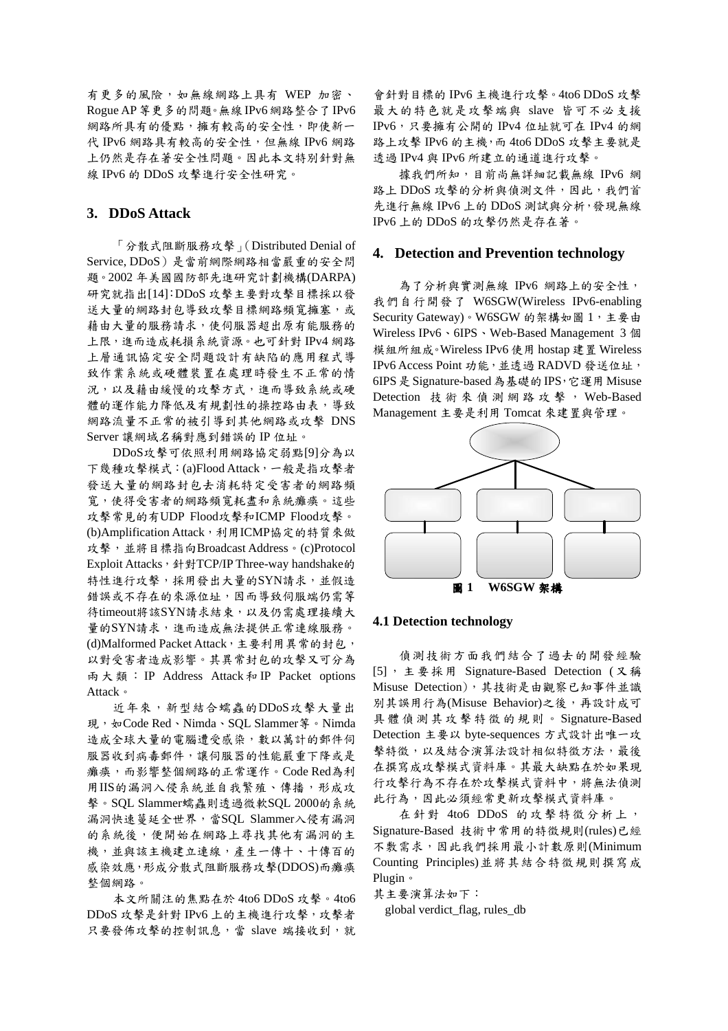有更多的風險,如無線網路上具有 WEP 加密、 Rogue AP 等更多的問題。無線 IPv6 網路整合了 IPv6 網路所具有的優點,擁有較高的安全性,即使新一 代 IPv6 網路具有較高的安全性,但無線 IPv6 網路 上仍然是存在著安全性問題。因此本文特別針對無 線 IPv6 的 DDoS 攻擊進行安全性研究。

# 3. DDoS Attack

「分散式阻斷服務攻擊」(Distributed Denial of Service, DDoS)是當前網際網路相當嚴重的安全問 題。2002年美國國防部先進研究計劃機構(DARPA) 研究就指出[14]: DDoS 攻擊主要對攻擊目標採以發 送大量的網路封包導致攻擊目標網路頻寬擁塞,或 藉由大量的服務請求,使伺服器超出原有能服務的 上限,進而造成耗損系統資源。也可針對 IPv4 網路 上層通訊協定安全問題設計有缺陷的應用程式導 致作業系統或硬體裝置在處理時發生不正常的情 況,以及藉由緩慢的攻擊方式,進而導致系統或硬 體的運作能力降低及有規劃性的操控路由表,導致 網路流量不正常的被引導到其他網路或攻擊 DNS Server 讓網域名稱對應到錯誤的 IP 位址。

DDoS攻擊可依照利用網路協定弱點[9]分為以 下幾種攻擊模式: (a)Flood Attack, 一般是指攻擊者 發送大量的網路封包去消耗特定受害者的網路頻 寬,使得受害者的網路頻寬耗盡和系統癱瘓。這些 攻擊常見的有UDP Flood攻擊和ICMP Flood攻擊。 (b)Amplification Attack,利用ICMP協定的特質來做 攻擊,並將目標指向Broadcast Address。(c)Protocol Exploit Attacks, 針對TCP/IP Three-way handshake的 特性進行攻擊,採用發出大量的SYN請求,並假造 錯誤或不存在的來源位址,因而導致伺服端仍需等 待timeout將該SYN請求結束,以及仍需處理接續大 量的SYN請求,進而造成無法提供正常連線服務。 (d)Malformed Packet Attack, 主要利用異常的封包, 以對受害者造成影響。其異常封包的攻擊又可分為 兩大類: IP Address Attack 和 IP Packet options Attack •

近年來,新型結合蠕蟲的DDoS攻擊大量出 現, 如Code Red、Nimda、SQL Slammer等。Nimda 造成全球大量的電腦遭受感染,數以萬計的郵件伺 服器收到病毒郵件,讓伺服器的性能嚴重下降或是 癱瘓,而影響整個網路的正常運作。Code Red為利 用IIS的漏洞入侵系統並自我繁殖、傳播,形成攻 擊。SQL Slammer蠕蟲則透過微軟SQL 2000的系統 漏洞快速蔓延全世界,當SQL Slammer入侵有漏洞 的系統後,便開始在網路上尋找其他有漏洞的主 機,並與該主機建立連線,產生一傳十、十傳百的 感染效應,形成分散式阻斷服務攻擊(DDOS)而癱瘓 整個網路。

本文所關注的焦點在於 4to6 DDoS 攻擊。4to6 DDoS 攻擊是針對 IPv6 上的主機進行攻擊,攻擊者 只要發佈攻擊的控制訊息,當 slave 端接收到,就

會針對目標的 IPv6 主機進行攻擊。4to6 DDoS 攻擊 最大的特色就是攻擊端與 slave 皆可不必支援 IPv6,只要擁有公開的 IPv4 位址就可在 IPv4 的網 路上攻擊 IPv6 的主機,而 4to6 DDoS 攻擊主要就是 透過 IPv4 與 IPv6 所建立的通道進行攻擊。

據我們所知,目前尚無詳細記載無線 IPv6 網 路上 DDoS 攻擊的分析與偵測文件,因此,我們首 先進行無線 IPv6 上的 DDoS 測試與分析,發現無線 IPv6 上的 DDoS 的攻擊仍然是存在著。

### 4. Detection and Prevention technology

為了分析與實測無線 IPv6 網路上的安全性, 我們自行開發了 W6SGW(Wireless IPv6-enabling Security Gateway)。W6SGW 的架構如圖 1, 主要由 Wireless IPv6、6IPS、Web-Based Management 3個 模組所組成。Wireless IPv6 使用 hostap 建置 Wireless IPv6 Access Point 功能,並透過 RADVD 發送位址, 6IPS 是 Signature-based 為基礎的 IPS, 它運用 Misuse Detection 技術來偵測網路攻擊, Web-Based Management 主要是利用 Tomcat 來建置與管理。



#### **4.1 Detection technology**

偵測技術方面我們結合了過去的開發經驗 [5], 主要採用 Signature-Based Detection (又稱 Misuse Detection), 其技術是由觀察已知事件並識 別其誤用行為(Misuse Behavior)之後,再設計成可 具體偵測其攻擊特徵的規則。Signature-Based Detection 主要以 byte-sequences 方式設計出唯一攻 擊特徵,以及結合演算法設計相似特徵方法,最後 在撰寫成攻擊模式資料庫。其最大缺點在於如果現 行攻擊行為不存在於攻擊模式資料中,將無法偵測 此行為,因此必須經常更新攻擊模式資料庫。

在針對 4to6 DDoS 的攻擊特徵分析上, Signature-Based 技術中常用的特徵規則(rules)已經 不敷需求,因此我們採用最小計數原則(Minimum Counting Principles)並將其結合特徵規則撰寫成 Plugin ·

其主要演算法如下:

global verdict\_flag, rules\_db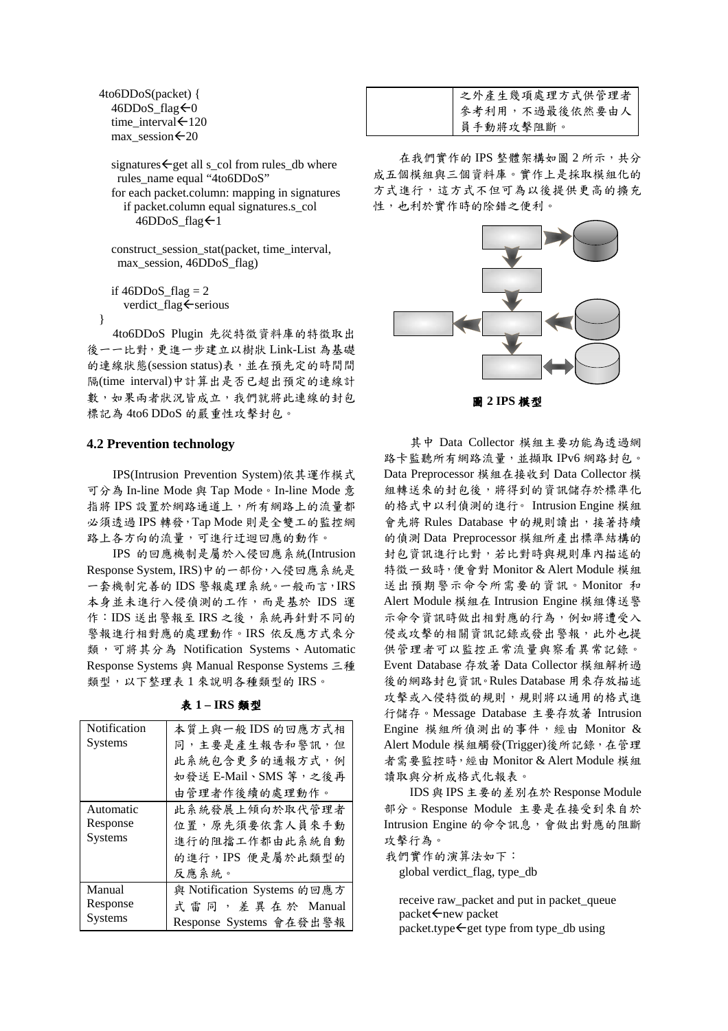4to6DDoS(packet) { 46DDoS\_flag < 0 time\_interval ← 120  $max\_session$   $\leftarrow$  20

> signatures  $\leftarrow$  get all s col from rules db where rules name equal "4to6DDoS" for each packet.column: mapping in signatures if packet.column equal signatures.s\_col 46DDoS\_flag < 1

construct session stat(packet, time interval, max session, 46DDoS flag)

if  $46DDoS$  flag = 2 verdict flag ← serious

 $\mathcal{E}$ 

4to6DDoS Plugin 先從特徵資料庫的特徵取出 後一一比對,更進一步建立以樹狀 Link-List 為基礎 的連線狀態(session status)表,並在預先定的時間間 隔(time interval)中計算出是否已超出預定的連線計 數,如果兩者狀況皆成立,我們就將此連線的封包 標記為 4to6 DDoS 的嚴重性攻擊封包。

#### **4.2 Prevention technology**

IPS(Intrusion Prevention System)依其運作模式 可分為 In-line Mode 與 Tap Mode。In-line Mode 意 指將 IPS 設置於網路通道上,所有網路上的流量都 必須透過 IPS 轉發, Tap Mode 則是全雙工的監控網 路上各方向的流量,可進行迂迴回應的動作。

IPS 的回應機制是屬於入侵回應系統(Intrusion Response System, IRS)中的一部份, 入侵回應系統是 一套機制完善的 IDS 警報處理系統。一般而言, IRS 本身並未進行入侵偵測的工作,而是基於 IDS 運 作: IDS 送出警報至 IRS 之後, 系統再針對不同的 警報進行相對應的處理動作。IRS 依反應方式來分 類,可將其分為 Notification Systems、Automatic Response Systems 與 Manual Response Systems 三種 類型,以下整理表1來說明各種類型的IRS。

| Notification   | 本質上與一般 IDS 的回應方式相           |
|----------------|-----------------------------|
| Systems        | 同,主要是產生報告和警訊,但              |
|                | 此系統包含更多的通報方式,例              |
|                | 如發送 E-Mail、SMS 等,之後再        |
|                | 由管理者作後續的處理動作。               |
| Automatic      | 此系統發展上傾向於取代管理者              |
| Response       | 位置,原先須要依靠人員來手動              |
| Systems        | 進行的阻擋工作都由此系統自動              |
|                | 的進行, IPS 便是屬於此類型的           |
|                | 反應系統。                       |
| Manual         | 與 Notification Systems 的回應方 |
| Response       | 式雷同,差異在於 Manual             |
| <b>Systems</b> | Response Systems 會在發出警報     |

表 1-IRS 類型

| 之外產生幾項處理方式供管理者 |
|----------------|
| 參考利用,不過最後依然要由人 |
| 員手動將攻擊阻斷。      |

在我們實作的 IPS 整體架構如圖 2 所示,共分 成五個模組與三個資料庫。實作上是採取模組化的 方式進行,這方式不但可為以後提供更高的擴充 性,也利於實作時的除錯之便利。



其中 Data Collector 模組主要功能為透過網 路卡監聽所有網路流量,並擷取 IPv6 網路封包。 Data Preprocessor 模組在接收到 Data Collector 模 組轉送來的封包後,將得到的資訊儲存於標準化 的格式中以利偵測的進行。Intrusion Engine 模組 會先將 Rules Database 中的規則讀出,接著持續 的偵測 Data Preprocessor 模組所產出標準結構的 封包資訊進行比對,若比對時與規則庫內描述的 特徵一致時,便會對 Monitor & Alert Module 模組 送出預期警示命令所需要的資訊。Monitor 和 Alert Module 模組在 Intrusion Engine 模組傳送警 示命令資訊時做出相對應的行為,例如將遭受入 侵或攻擊的相關資訊記錄或發出警報,此外也提 供管理者可以監控正常流量與察看異常記錄。 Event Database 存放著 Data Collector 模組解析過 後的網路封包資訊。Rules Database 用來存放描述 **攻擊或入侵特徵的規則,規則將以通用的格式進** 行儲存。Message Database 主要存放著 Intrusion Engine 模組所偵測出的事件,經由 Monitor & Alert Module 模組觸發(Trigger)後所記錄, 在管理 者需要監控時,經由 Monitor & Alert Module 模組 讀取與分析成格式化報表。

IDS 與 IPS 主要的差别在於 Response Module 部分。Response Module 主要是在接受到來自於 Intrusion Engine 的命令訊息,會做出對應的阻斷 攻擊行為。

我們實作的演算法如下: global verdict\_flag, type\_db

receive raw\_packet and put in packet\_queue  $packet \leftarrow$ new packet  $packet_type \leftarrow get type from type db using$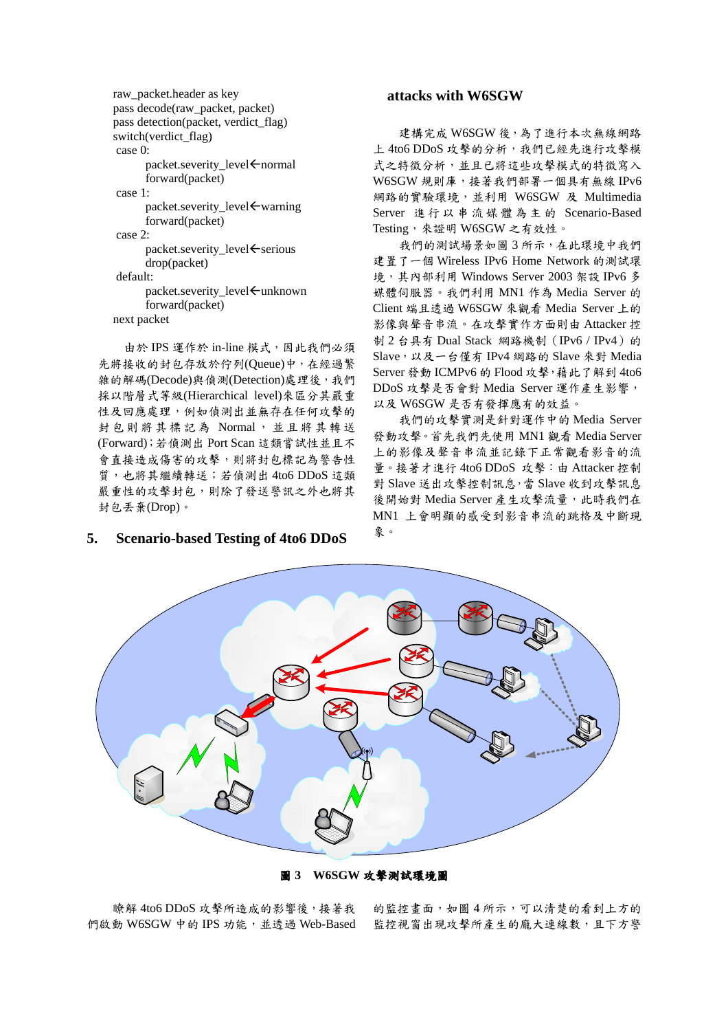```
raw_packet.header as key
pass decode(raw_packet, packet)
pass detection(packet, verdict flag)
switch(verdict flag)
case 0:
      packet.severity level ← normal
      forward(packet)
case 1<sup>.</sup>
      packet.severity_level <warning
      forward(packet)
case 2:
      packet.severity level ← serious
       drop(packet)
default:
      packet.severity level ← unknown
      forward(packet)
next packet
```
由於 IPS 運作於 in-line 模式, 因此我們必須 先將接收的封包存放於佇列(Queue)中,在經過繁 雜的解碼(Decode)與偵測(Detection)處理後,我們 採以階層式等級(Hierarchical level)來區分其嚴重 性及回應處理,例如偵測出並無存在任何攻擊的 封包則將其標記為 Normal,並且將其轉送 (Forward);若偵測出 Port Scan 這類嘗試性並且不 會直接造成傷害的攻擊,則將封包標記為警告性 質,也將其繼續轉送;若偵測出4to6 DDoS這類 嚴重性的攻擊封包,則除了發送警訊之外也將其 封包丢棄(Drop)。

#### **Scenario-based Testing of 4to6 DDoS** 5.

### attacks with W6SGW

建構完成 W6SGW 後,為了進行本次無線網路 上 4to6 DDoS 攻擊的分析, 我們已經先進行攻擊模 式之特徵分析,並且已將這些攻擊模式的特徵寫入 W6SGW 規則庫,接著我們部署一個具有無線 IPv6 網路的實驗環境,並利用 W6SGW 及 Multimedia Server 進行以串流媒體為主的 Scenario-Based Testing, 來證明 W6SGW 之有效性。

我們的測試場景如圖3所示,在此環境中我們 建置了一個 Wireless IPv6 Home Network 的測試環 境, 其內部利用 Windows Server 2003 架設 IPv6 多 媒體伺服器。我們利用 MN1 作為 Media Server 的 Client 端且透過 W6SGW 來觀看 Media Server 上的 影像與聲音串流。在攻擊實作方面則由 Attacker 控 制 2 台具有 Dual Stack 網路機制 (IPv6 / IPv4) 的 Slave, 以及一台僅有 IPv4 網路的 Slave 來對 Media Server 發動 ICMPv6 的 Flood 攻擊, 藉此了解到 4to6 DDoS 攻擊是否會對 Media Server 運作產生影響, 以及 W6SGW 是否有發揮應有的效益。

我們的攻擊實測是針對運作中的 Media Server 發動攻擊。首先我們先使用 MN1 觀看 Media Server 上的影像及聲音串流並記錄下正常觀看影音的流 量。接著才進行 4to6 DDoS 攻擊: 由 Attacker 控制 對 Slave 送出攻擊控制訊息,當 Slave 收到攻擊訊息 後開始對 Media Server 產生攻擊流量, 此時我們在 MN1 上會明顯的感受到影音串流的跳格及中斷現 象。



圖 3 W6SGW 攻擊測試環境圖

瞭解 4to6 DDoS 攻擊所造成的影響後,接著我 們啟動 W6SGW 中的 IPS 功能, 並透過 Web-Based

的監控畫面,如圖4所示,可以清楚的看到上方的 監控視窗出現攻擊所產生的龐大連線數,且下方警